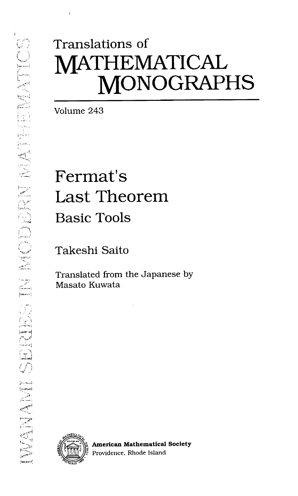## Translations of MATHEMATICAL **MONOGRAPHS**

Volume 243

## Fermat's Last Theorem Basic Tools

Takeshi Saito

Translated from the Japanese by Masato Kuwata



**American Mathematical Society** Providence, Rhode Island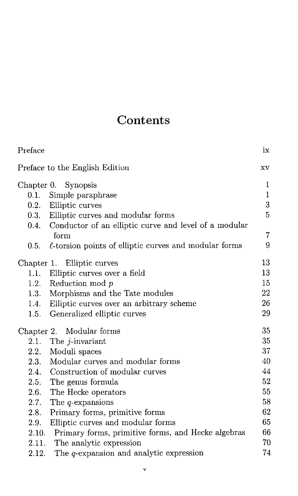## **Contents**

| Preface |                                                                    | ix               |
|---------|--------------------------------------------------------------------|------------------|
|         | Preface to the English Edition                                     | XV               |
|         | Chapter 0. Synopsis                                                | 1                |
|         | 0.1. Simple paraphrase                                             | $\mathbf{1}$     |
|         | 0.2. Elliptic curves                                               | $\boldsymbol{3}$ |
|         | 0.3. Elliptic curves and modular forms                             | 5                |
|         | 0.4. Conductor of an elliptic curve and level of a modular<br>form | $\overline{7}$   |
| 0.5.    | letorsion points of elliptic curves and modular forms              | 9                |
|         | Chapter 1. Elliptic curves                                         | 13               |
|         | 1.1. Elliptic curves over a field                                  | 13               |
|         | 1.2. Reduction mod $p$                                             | 15               |
|         | 1.3. Morphisms and the Tate modules                                | 22               |
|         | 1.4. Elliptic curves over an arbitrary scheme                      | 26               |
|         | 1.5. Generalized elliptic curves                                   | 29               |
|         | Chapter 2. Modular forms                                           | 35               |
|         | 2.1. The $j$ -invariant                                            | 35               |
|         | 2.2. Moduli spaces                                                 | 37               |
|         | 2.3. Modular curves and modular forms                              | 40               |
|         | 2.4. Construction of modular curves                                | 44               |
|         | 2.5. The genus formula                                             | 52               |
|         | 2.6. The Hecke operators                                           | 55               |
|         | 2.7. The $q$ -expansions                                           | 58               |
|         | 2.8. Primary forms, primitive forms                                | 62               |
| 2.9.    | Elliptic curves and modular forms                                  | 65               |
|         | 2.10. Primary forms, primitive forms, and Hecke algebras           | 66               |
|         | 2.11. The analytic expression                                      | 70               |
| 2.12.   | The $q$ -expansion and analytic expression                         | 74               |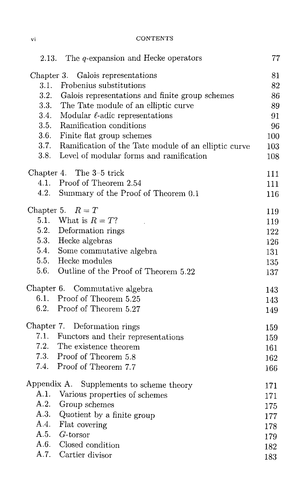vi CONTENTS

|      | 2.13. The $q$ -expansion and Hecke operators                              | 77  |
|------|---------------------------------------------------------------------------|-----|
|      | Chapter 3. Galois representations                                         | 81  |
|      | 3.1. Frobenius substitutions                                              | 82  |
|      | 3.2. Galois representations and finite group schemes                      | 86  |
|      | 3.3. The Tate module of an elliptic curve                                 | 89  |
|      | 3.4. Modular $\ell$ -adic representations                                 | 91  |
| 3.5. | Ramification conditions                                                   | 96  |
| 3.6. | Finite flat group schemes                                                 | 100 |
| 3.7. | Ramification of the Tate module of an elliptic curve                      | 103 |
| 3.8. | Level of modular forms and ramification                                   | 108 |
|      | Chapter 4. The 3-5 trick                                                  | 111 |
| 4.1. | Proof of Theorem 2.54                                                     | 111 |
| 4.2. | Summary of the Proof of Theorem 0.1                                       | 116 |
|      | Chapter 5. $R = T$                                                        | 119 |
|      | 5.1. What is $R = T$ ?                                                    | 119 |
|      | $5.2. \quad \text{Deformation rings} \\ 5.3. \quad \text{Hecke algebras}$ | 122 |
|      |                                                                           | 126 |
|      | 5.4. Some commutative algebra                                             | 131 |
|      | 5.5. Hecke modules                                                        | 135 |
|      | 5.6. Outline of the Proof of Theorem 5.22                                 | 137 |
|      | Chapter 6. Commutative algebra                                            | 143 |
|      | 6.1. Proof of Theorem 5.25                                                | 143 |
| 6.2  | Proof of Theorem 5.27                                                     | 149 |
|      | Chapter 7. Deformation rings                                              | 159 |
|      | 7.1. Functors and their representations                                   | 159 |
| 7.2. | The existence theorem                                                     | 161 |
|      | 7.3. Proof of Theorem 5.8                                                 | 162 |
|      | 7.4. Proof of Theorem 7.7                                                 | 166 |
|      | Appendix A. Supplements to scheme theory                                  | 171 |
|      | A.1. Various properties of schemes                                        | 171 |
| A.2. | Group schemes                                                             | 175 |
| A.3. | Quotient by a finite group                                                | 177 |
| A.4. | Flat covering                                                             | 178 |
| A.5. | $G$ -torsor                                                               | 179 |
| A.6. | Closed condition                                                          | 182 |
| A.7. | Cartier divisor                                                           | 183 |